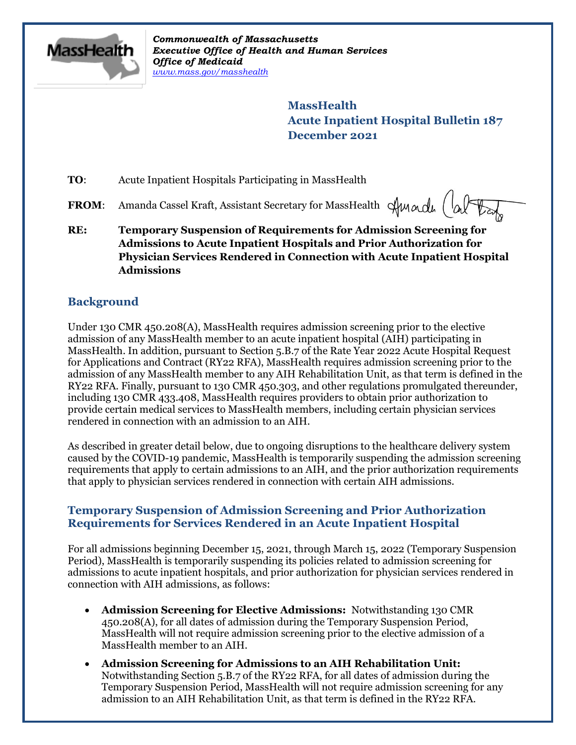

*Commonwealth of Massachusetts Executive Office of Health and Human Services Office of Medicaid [www.mass.gov/masshealth](http://www.mass.gov/masshealth)*

> **MassHealth Acute Inpatient Hospital Bulletin 187 December 2021**

**TO:** Acute Inpatient Hospitals Participating in MassHealth

**FROM:** Amanda Cassel Kraft, Assistant Secretary for MassHealth Awardu (a)

**RE: Temporary Suspension of Requirements for Admission Screening for Admissions to Acute Inpatient Hospitals and Prior Authorization for Physician Services Rendered in Connection with Acute Inpatient Hospital Admissions**

## **Background**

Under 130 CMR 450.208(A), MassHealth requires admission screening prior to the elective admission of any MassHealth member to an acute inpatient hospital (AIH) participating in MassHealth. In addition, pursuant to Section 5.B.7 of the Rate Year 2022 Acute Hospital Request for Applications and Contract (RY22 RFA), MassHealth requires admission screening prior to the admission of any MassHealth member to any AIH Rehabilitation Unit, as that term is defined in the RY22 RFA. Finally, pursuant to 130 CMR 450.303, and other regulations promulgated thereunder, including 130 CMR 433.408, MassHealth requires providers to obtain prior authorization to provide certain medical services to MassHealth members, including certain physician services rendered in connection with an admission to an AIH.

As described in greater detail below, due to ongoing disruptions to the healthcare delivery system caused by the COVID-19 pandemic, MassHealth is temporarily suspending the admission screening requirements that apply to certain admissions to an AIH, and the prior authorization requirements that apply to physician services rendered in connection with certain AIH admissions.

### **Temporary Suspension of Admission Screening and Prior Authorization Requirements for Services Rendered in an Acute Inpatient Hospital**

For all admissions beginning December 15, 2021, through March 15, 2022 (Temporary Suspension Period), MassHealth is temporarily suspending its policies related to admission screening for admissions to acute inpatient hospitals, and prior authorization for physician services rendered in connection with AIH admissions, as follows:

- **Admission Screening for Elective Admissions:** Notwithstanding 130 CMR 450.208(A), for all dates of admission during the Temporary Suspension Period, MassHealth will not require admission screening prior to the elective admission of a MassHealth member to an AIH.
- **Admission Screening for Admissions to an AIH Rehabilitation Unit:**  Notwithstanding Section 5.B.7 of the RY22 RFA, for all dates of admission during the Temporary Suspension Period, MassHealth will not require admission screening for any admission to an AIH Rehabilitation Unit, as that term is defined in the RY22 RFA.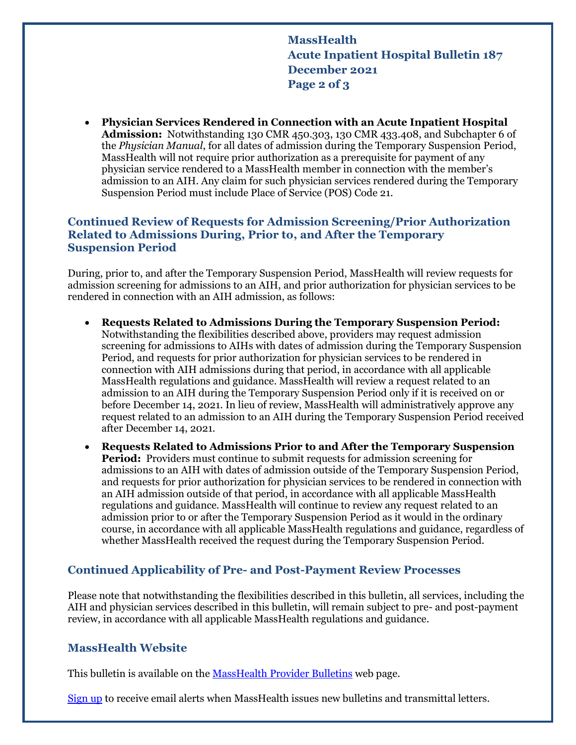**MassHealth Acute Inpatient Hospital Bulletin 187 December 2021 Page 2 of 3**

 **Physician Services Rendered in Connection with an Acute Inpatient Hospital Admission:** Notwithstanding 130 CMR 450.303, 130 CMR 433.408, and Subchapter 6 of the *Physician Manual*, for all dates of admission during the Temporary Suspension Period, MassHealth will not require prior authorization as a prerequisite for payment of any physician service rendered to a MassHealth member in connection with the member's admission to an AIH. Any claim for such physician services rendered during the Temporary Suspension Period must include Place of Service (POS) Code 21.

### **Continued Review of Requests for Admission Screening/Prior Authorization Related to Admissions During, Prior to, and After the Temporary Suspension Period**

During, prior to, and after the Temporary Suspension Period, MassHealth will review requests for admission screening for admissions to an AIH, and prior authorization for physician services to be rendered in connection with an AIH admission, as follows:

- **Requests Related to Admissions During the Temporary Suspension Period:** Notwithstanding the flexibilities described above, providers may request admission screening for admissions to AIHs with dates of admission during the Temporary Suspension Period, and requests for prior authorization for physician services to be rendered in connection with AIH admissions during that period, in accordance with all applicable MassHealth regulations and guidance. MassHealth will review a request related to an admission to an AIH during the Temporary Suspension Period only if it is received on or before December 14, 2021. In lieu of review, MassHealth will administratively approve any request related to an admission to an AIH during the Temporary Suspension Period received after December 14, 2021.
- **Requests Related to Admissions Prior to and After the Temporary Suspension Period:** Providers must continue to submit requests for admission screening for admissions to an AIH with dates of admission outside of the Temporary Suspension Period, and requests for prior authorization for physician services to be rendered in connection with an AIH admission outside of that period, in accordance with all applicable MassHealth regulations and guidance. MassHealth will continue to review any request related to an admission prior to or after the Temporary Suspension Period as it would in the ordinary course, in accordance with all applicable MassHealth regulations and guidance, regardless of whether MassHealth received the request during the Temporary Suspension Period.

## **Continued Applicability of Pre- and Post-Payment Review Processes**

Please note that notwithstanding the flexibilities described in this bulletin, all services, including the AIH and physician services described in this bulletin, will remain subject to pre- and post-payment review, in accordance with all applicable MassHealth regulations and guidance.

### **MassHealth Website**

This bulletin is available on th[e MassHealth Provider Bulletins](http://www.mass.gov/masshealth-provider-bulletins) web page.

[Sign up](https://www.mass.gov/forms/email-notifications-for-provider-bulletins-and-transmittal-letters) to receive email alerts when MassHealth issues new bulletins and transmittal letters.